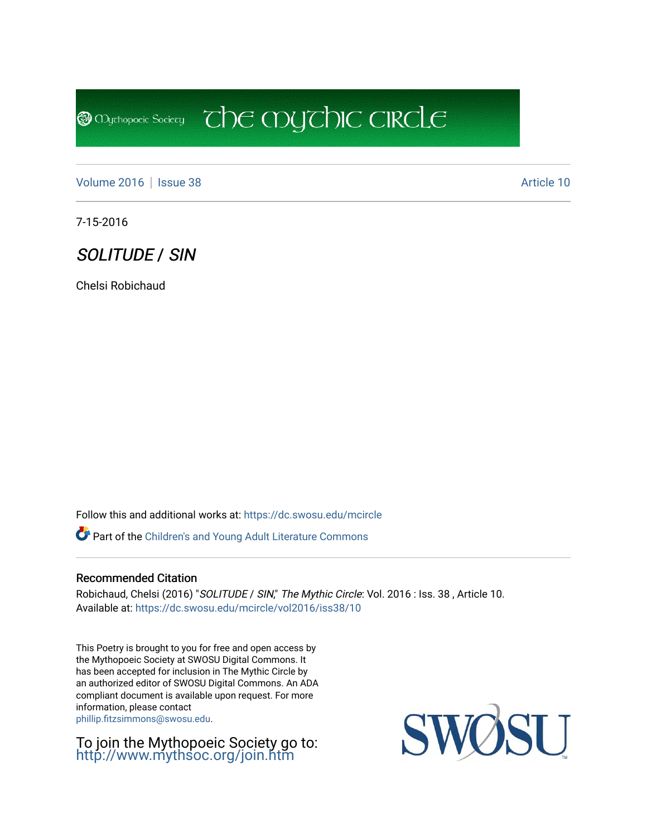**@** Mychopoeic Sociecy

[Volume 2016](https://dc.swosu.edu/mcircle/vol2016) | [Issue 38](https://dc.swosu.edu/mcircle/vol2016/iss38) Article 10

7-15-2016

SOLITUDE / SIN

Chelsi Robichaud

Follow this and additional works at: [https://dc.swosu.edu/mcircle](https://dc.swosu.edu/mcircle?utm_source=dc.swosu.edu%2Fmcircle%2Fvol2016%2Fiss38%2F10&utm_medium=PDF&utm_campaign=PDFCoverPages) 

Part of the [Children's and Young Adult Literature Commons](http://network.bepress.com/hgg/discipline/1289?utm_source=dc.swosu.edu%2Fmcircle%2Fvol2016%2Fiss38%2F10&utm_medium=PDF&utm_campaign=PDFCoverPages) 

#### Recommended Citation

Robichaud, Chelsi (2016) "SOLITUDE / SIN," The Mythic Circle: Vol. 2016 : Iss. 38, Article 10. Available at: [https://dc.swosu.edu/mcircle/vol2016/iss38/10](https://dc.swosu.edu/mcircle/vol2016/iss38/10?utm_source=dc.swosu.edu%2Fmcircle%2Fvol2016%2Fiss38%2F10&utm_medium=PDF&utm_campaign=PDFCoverPages) 

 $\overline{c}$  the mychic circle

This Poetry is brought to you for free and open access by the Mythopoeic Society at SWOSU Digital Commons. It has been accepted for inclusion in The Mythic Circle by an authorized editor of SWOSU Digital Commons. An ADA compliant document is available upon request. For more information, please contact [phillip.fitzsimmons@swosu.edu](mailto:phillip.fitzsimmons@swosu.edu).

To join the Mythopoeic Society go to: <http://www.mythsoc.org/join.htm>

SU SWO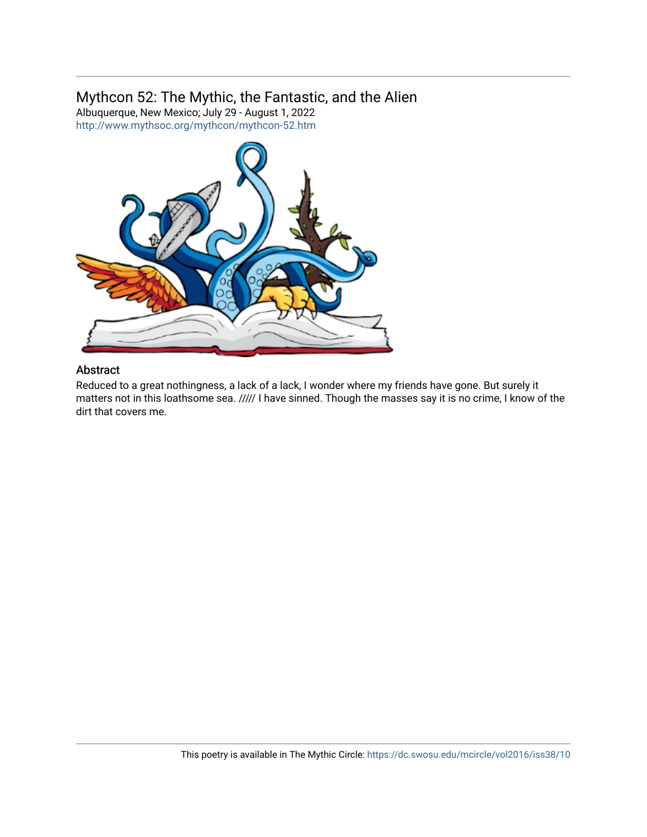# Mythcon 52: The Mythic, the Fantastic, and the Alien

Albuquerque, New Mexico; July 29 - August 1, 2022 <http://www.mythsoc.org/mythcon/mythcon-52.htm>



## Abstract

Reduced to a great nothingness, a lack of a lack, I wonder where my friends have gone. But surely it matters not in this loathsome sea. ///// I have sinned. Though the masses say it is no crime, I know of the dirt that covers me.